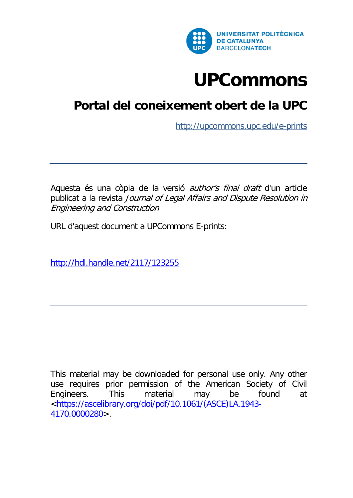

# **[UPCommons](http://upcommonsdev.upc.edu/)**

# **[Portal del coneixement obert de la UPC](http://upcommonsdev.upc.edu/)**

<http://upcommons.upc.edu/e-prints>

Aquesta és una còpia de la versió *author's final draft* d'un article publicat a la revista Journal of Legal Affairs and Dispute Resolution in Engineering and Construction

URL d'aquest document a UPCommons E-prints:

<http://hdl.handle.net/2117/123255>

This material may be downloaded for personal use only. Any other use requires prior permission of the American Society of Civil Engineers. This material may be found at [<https://ascelibrary.org/doi/pdf/10.1061/\(ASCE\)LA.1943-](https://ascelibrary.org/doi/pdf/10.1061/(ASCE)LA.1943-4170.0000280) [4170.0000280>](https://ascelibrary.org/doi/pdf/10.1061/(ASCE)LA.1943-4170.0000280).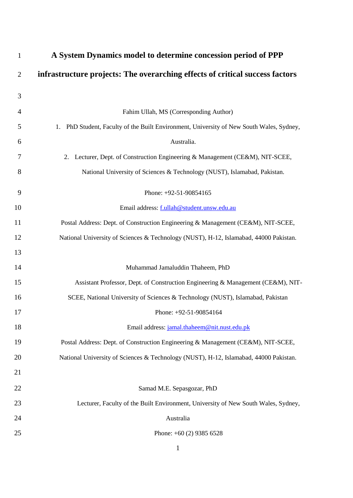| $\mathbf{1}$   | A System Dynamics model to determine concession period of PPP                               |
|----------------|---------------------------------------------------------------------------------------------|
| $\overline{2}$ | infrastructure projects: The overarching effects of critical success factors                |
| 3              |                                                                                             |
| $\overline{4}$ | Fahim Ullah, MS (Corresponding Author)                                                      |
| 5              | PhD Student, Faculty of the Built Environment, University of New South Wales, Sydney,<br>1. |
| 6              | Australia.                                                                                  |
| 7              | Lecturer, Dept. of Construction Engineering & Management (CE&M), NIT-SCEE,<br>2.            |
| 8              | National University of Sciences & Technology (NUST), Islamabad, Pakistan.                   |
| 9              | Phone: +92-51-90854165                                                                      |
| 10             | Email address: f.ullah@student.unsw.edu.au                                                  |
| 11             | Postal Address: Dept. of Construction Engineering & Management (CE&M), NIT-SCEE,            |
| 12             | National University of Sciences & Technology (NUST), H-12, Islamabad, 44000 Pakistan.       |
| 13             |                                                                                             |
| 14             | Muhammad Jamaluddin Thaheem, PhD                                                            |
| 15             | Assistant Professor, Dept. of Construction Engineering & Management (CE&M), NIT-            |
| 16             | SCEE, National University of Sciences & Technology (NUST), Islamabad, Pakistan              |
| 17             | Phone: +92-51-90854164                                                                      |
| 18             | Email address: jamal.thaheem@nit.nust.edu.pk                                                |
| 19             | Postal Address: Dept. of Construction Engineering & Management (CE&M), NIT-SCEE,            |
| 20             | National University of Sciences & Technology (NUST), H-12, Islamabad, 44000 Pakistan.       |
| 21             |                                                                                             |
| 22             | Samad M.E. Sepasgozar, PhD                                                                  |
| 23             | Lecturer, Faculty of the Built Environment, University of New South Wales, Sydney,          |
| 24             | Australia                                                                                   |
| 25             | Phone: $+60(2)$ 9385 6528                                                                   |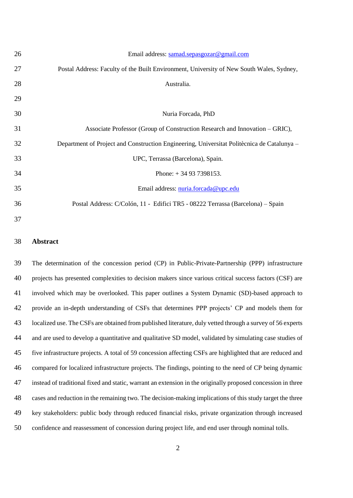| 26 | Email address: samad.sepasgozar@gmail.com                                                  |
|----|--------------------------------------------------------------------------------------------|
| 27 | Postal Address: Faculty of the Built Environment, University of New South Wales, Sydney,   |
| 28 | Australia.                                                                                 |
| 29 |                                                                                            |
| 30 | Nuria Forcada, PhD                                                                         |
| 31 | Associate Professor (Group of Construction Research and Innovation – GRIC),                |
| 32 | Department of Project and Construction Engineering, Universitat Politècnica de Catalunya – |
| 33 | UPC, Terrassa (Barcelona), Spain.                                                          |
| 34 | Phone: $+34937398153$ .                                                                    |
| 35 | Email address: nuria.forcada@upc.edu                                                       |
| 36 | Postal Address: C/Colón, 11 - Edifici TR5 - 08222 Terrassa (Barcelona) - Spain             |
| 37 |                                                                                            |

#### **Abstract**

 The determination of the concession period (CP) in Public-Private-Partnership (PPP) infrastructure projects has presented complexities to decision makers since various critical success factors (CSF) are involved which may be overlooked. This paper outlines a System Dynamic (SD)-based approach to provide an in-depth understanding of CSFs that determines PPP projects' CP and models them for localized use. The CSFs are obtained from published literature, duly vetted through a survey of 56 experts and are used to develop a quantitative and qualitative SD model, validated by simulating case studies of five infrastructure projects. A total of 59 concession affecting CSFs are highlighted that are reduced and compared for localized infrastructure projects. The findings, pointing to the need of CP being dynamic instead of traditional fixed and static, warrant an extension in the originally proposed concession in three cases and reduction in the remaining two. The decision-making implications of this study target the three key stakeholders: public body through reduced financial risks, private organization through increased confidence and reassessment of concession during project life, and end user through nominal tolls.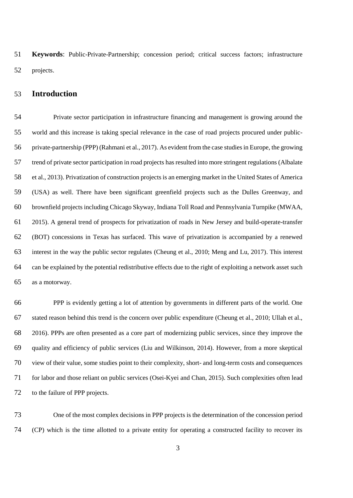**Keywords**: Public-Private-Partnership; concession period; critical success factors; infrastructure projects.

#### **Introduction**

 Private sector participation in infrastructure financing and management is growing around the world and this increase is taking special relevance in the case of road projects procured under public- private-partnership (PPP) (Rahmani et al., 2017). As evident from the case studies in Europe, the growing trend of private sector participation in road projects has resulted into more stringent regulations (Albalate et al., 2013). Privatization of construction projects is an emerging market in the United States of America (USA) as well. There have been significant greenfield projects such as the Dulles Greenway, and brownfield projects including Chicago Skyway, Indiana Toll Road and Pennsylvania Turnpike (MWAA, 2015). A general trend of prospects for privatization of roads in New Jersey and build-operate-transfer (BOT) concessions in Texas has surfaced. This wave of privatization is accompanied by a renewed interest in the way the public sector regulates (Cheung et al., 2010; Meng and Lu, 2017). This interest can be explained by the potential redistributive effects due to the right of exploiting a network asset such as a motorway.

 PPP is evidently getting a lot of attention by governments in different parts of the world. One stated reason behind this trend is the concern over public expenditure (Cheung et al., 2010; Ullah et al., 2016). PPPs are often presented as a core part of modernizing public services, since they improve the quality and efficiency of public services (Liu and Wilkinson, 2014). However, from a more skeptical view of their value, some studies point to their complexity, short- and long-term costs and consequences for labor and those reliant on public services (Osei-Kyei and Chan, 2015). Such complexities often lead to the failure of PPP projects.

 One of the most complex decisions in PPP projects is the determination of the concession period (CP) which is the time allotted to a private entity for operating a constructed facility to recover its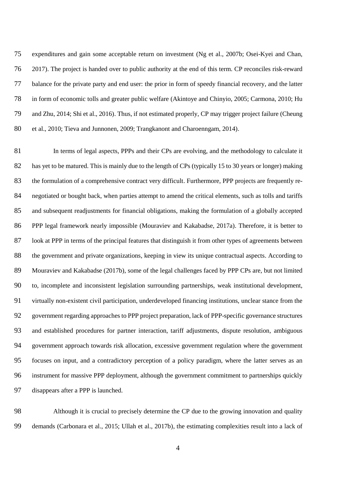expenditures and gain some acceptable return on investment (Ng et al., 2007b; Osei-Kyei and Chan, 2017). The project is handed over to public authority at the end of this term. CP reconciles risk-reward balance for the private party and end user: the prior in form of speedy financial recovery, and the latter in form of economic tolls and greater public welfare (Akintoye and Chinyio, 2005; Carmona, 2010; Hu and Zhu, 2014; Shi et al., 2016). Thus, if not estimated properly, CP may trigger project failure (Cheung et al., 2010; Tieva and Junnonen, 2009; Trangkanont and Charoenngam, 2014).

 In terms of legal aspects, PPPs and their CPs are evolving, and the methodology to calculate it 82 has yet to be matured. This is mainly due to the length of CPs (typically 15 to 30 years or longer) making the formulation of a comprehensive contract very difficult. Furthermore, PPP projects are frequently re- negotiated or bought back, when parties attempt to amend the critical elements, such as tolls and tariffs and subsequent readjustments for financial obligations, making the formulation of a globally accepted PPP legal framework nearly impossible (Mouraviev and Kakabadse, 2017a). Therefore, it is better to look at PPP in terms of the principal features that distinguish it from other types of agreements between the government and private organizations, keeping in view its unique contractual aspects. According to Mouraviev and Kakabadse (2017b), some of the legal challenges faced by PPP CPs are, but not limited to, incomplete and inconsistent legislation surrounding partnerships, weak institutional development, virtually non-existent civil participation, underdeveloped financing institutions, unclear stance from the government regarding approaches to PPP project preparation, lack of PPP-specific governance structures and established procedures for partner interaction, tariff adjustments, dispute resolution, ambiguous government approach towards risk allocation, excessive government regulation where the government focuses on input, and a contradictory perception of a policy paradigm, where the latter serves as an instrument for massive PPP deployment, although the government commitment to partnerships quickly disappears after a PPP is launched.

 Although it is crucial to precisely determine the CP due to the growing innovation and quality demands (Carbonara et al., 2015; Ullah et al., 2017b), the estimating complexities result into a lack of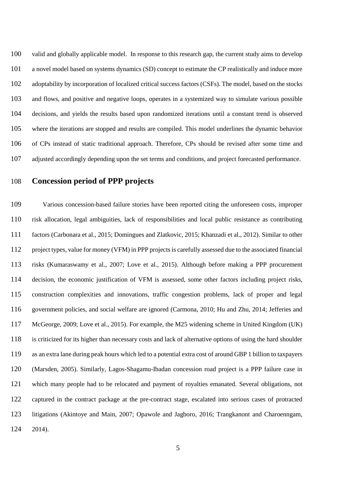valid and globally applicable model. In response to this research gap, the current study aims to develop a novel model based on systems dynamics (SD) concept to estimate the CP realistically and induce more adoptability by incorporation of localized critical success factors (CSFs). The model, based on the stocks and flows, and positive and negative loops, operates in a systemized way to simulate various possible decisions, and yields the results based upon randomized iterations until a constant trend is observed where the iterations are stopped and results are compiled. This model underlines the dynamic behavior of CPs instead of static traditional approach. Therefore, CPs should be revised after some time and adjusted accordingly depending upon the set terms and conditions, and project forecasted performance.

## **Concession period of PPP projects**

 Various concession-based failure stories have been reported citing the unforeseen costs, improper risk allocation, legal ambiguities, lack of responsibilities and local public resistance as contributing factors (Carbonara et al., 2015; Domingues and Zlatkovic, 2015; Khanzadi et al., 2012). Similar to other project types, value for money (VFM) in PPP projects is carefully assessed due to the associated financial risks (Kumaraswamy et al., 2007; Love et al., 2015). Although before making a PPP procurement decision, the economic justification of VFM is assessed, some other factors including project risks, construction complexities and innovations, traffic congestion problems, lack of proper and legal government policies, and social welfare are ignored (Carmona, 2010; Hu and Zhu, 2014; Jefferies and McGeorge, 2009; Love et al., 2015). For example, the M25 widening scheme in United Kingdom (UK) is criticized for its higher than necessary costs and lack of alternative options of using the hard shoulder as an extra lane during peak hours which led to a potential extra cost of around GBP 1 billion to taxpayers (Marsden, 2005). Similarly, Lagos-Shagamu-Ibadan concession road project is a PPP failure case in which many people had to be relocated and payment of royalties emanated. Several obligations, not captured in the contract package at the pre-contract stage, escalated into serious cases of protracted litigations (Akintoye and Main, 2007; Opawole and Jagboro, 2016; Trangkanont and Charoenngam, 2014).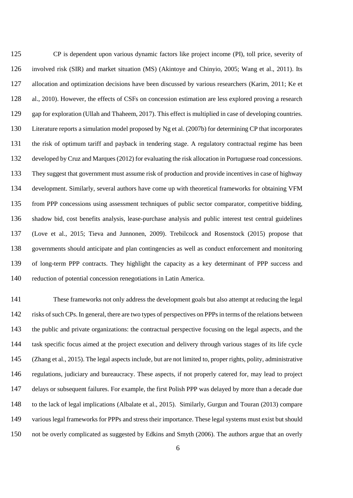CP is dependent upon various dynamic factors like project income (PI), toll price, severity of involved risk (SIR) and market situation (MS) (Akintoye and Chinyio, 2005; Wang et al., 2011). Its allocation and optimization decisions have been discussed by various researchers (Karim, 2011; Ke et al., 2010). However, the effects of CSFs on concession estimation are less explored proving a research gap for exploration (Ullah and Thaheem, 2017). This effect is multiplied in case of developing countries. Literature reports a simulation model proposed by Ng et al. (2007b) for determining CP that incorporates the risk of optimum tariff and payback in tendering stage. A regulatory contractual regime has been developed by Cruz and Marques (2012) for evaluating the risk allocation in Portuguese road concessions. They suggest that government must assume risk of production and provide incentives in case of highway development. Similarly, several authors have come up with theoretical frameworks for obtaining VFM from PPP concessions using assessment techniques of public sector comparator, competitive bidding, shadow bid, cost benefits analysis, lease-purchase analysis and public interest test central guidelines (Love et al., 2015; Tieva and Junnonen, 2009). Trebilcock and Rosenstock (2015) propose that governments should anticipate and plan contingencies as well as conduct enforcement and monitoring of long-term PPP contracts. They highlight the capacity as a key determinant of PPP success and reduction of potential concession renegotiations in Latin America.

 These frameworks not only address the development goals but also attempt at reducing the legal risks of such CPs. In general, there are two types of perspectives on PPPs in terms of the relations between the public and private organizations: the contractual perspective focusing on the legal aspects, and the task specific focus aimed at the project execution and delivery through various stages of its life cycle (Zhang et al., 2015). The legal aspects include, but are not limited to, proper rights, polity, administrative regulations, judiciary and bureaucracy. These aspects, if not properly catered for, may lead to project delays or subsequent failures. For example, the first Polish PPP was delayed by more than a decade due to the lack of legal implications (Albalate et al., 2015). Similarly, Gurgun and Touran (2013) compare various legal frameworks for PPPs and stress their importance. These legal systems must exist but should not be overly complicated as suggested by Edkins and Smyth (2006). The authors argue that an overly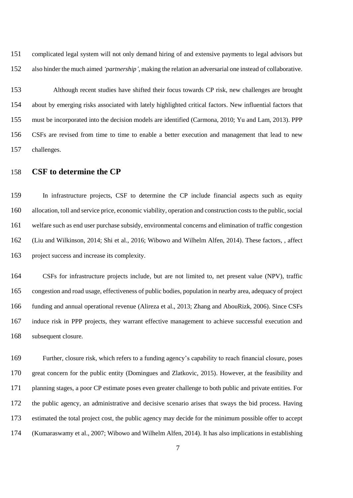complicated legal system will not only demand hiring of and extensive payments to legal advisors but also hinder the much aimed *'partnership'*, making the relation an adversarial one instead of collaborative.

 Although recent studies have shifted their focus towards CP risk, new challenges are brought about by emerging risks associated with lately highlighted critical factors. New influential factors that must be incorporated into the decision models are identified (Carmona, 2010; Yu and Lam, 2013). PPP CSFs are revised from time to time to enable a better execution and management that lead to new challenges.

#### **CSF to determine the CP**

 In infrastructure projects, CSF to determine the CP include financial aspects such as equity allocation, toll and service price, economic viability, operation and construction costs to the public, social welfare such as end user purchase subsidy, environmental concerns and elimination of traffic congestion (Liu and Wilkinson, 2014; Shi et al., 2016; Wibowo and Wilhelm Alfen, 2014). These factors, , affect project success and increase its complexity.

 CSFs for infrastructure projects include, but are not limited to, net present value (NPV), traffic congestion and road usage, effectiveness of public bodies, population in nearby area, adequacy of project funding and annual operational revenue (Alireza et al., 2013; Zhang and AbouRizk, 2006). Since CSFs induce risk in PPP projects, they warrant effective management to achieve successful execution and subsequent closure.

 Further, closure risk, which refers to a funding agency's capability to reach financial closure, poses great concern for the public entity (Domingues and Zlatkovic, 2015). However, at the feasibility and planning stages, a poor CP estimate poses even greater challenge to both public and private entities. For the public agency, an administrative and decisive scenario arises that sways the bid process. Having estimated the total project cost, the public agency may decide for the minimum possible offer to accept (Kumaraswamy et al., 2007; Wibowo and Wilhelm Alfen, 2014). It has also implications in establishing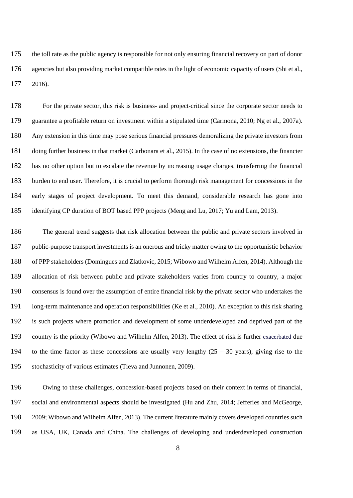the toll rate as the public agency is responsible for not only ensuring financial recovery on part of donor agencies but also providing market compatible rates in the light of economic capacity of users (Shi et al., 2016).

 For the private sector, this risk is business- and project-critical since the corporate sector needs to guarantee a profitable return on investment within a stipulated time (Carmona, 2010; Ng et al., 2007a). Any extension in this time may pose serious financial pressures demoralizing the private investors from doing further business in that market (Carbonara et al., 2015). In the case of no extensions, the financier has no other option but to escalate the revenue by increasing usage charges, transferring the financial burden to end user. Therefore, it is crucial to perform thorough risk management for concessions in the early stages of project development. To meet this demand, considerable research has gone into identifying CP duration of BOT based PPP projects (Meng and Lu, 2017; Yu and Lam, 2013).

 The general trend suggests that risk allocation between the public and private sectors involved in public-purpose transport investments is an onerous and tricky matter owing to the opportunistic behavior of PPP stakeholders (Domingues and Zlatkovic, 2015; Wibowo and Wilhelm Alfen, 2014). Although the allocation of risk between public and private stakeholders varies from country to country, a major consensus is found over the assumption of entire financial risk by the private sector who undertakes the long-term maintenance and operation responsibilities (Ke et al., 2010). An exception to this risk sharing is such projects where promotion and development of some underdeveloped and deprived part of the country is the priority (Wibowo and Wilhelm Alfen, 2013). The effect of risk is further exacerbated due 194 to the time factor as these concessions are usually very lengthy  $(25 - 30 \text{ years})$ , giving rise to the stochasticity of various estimates (Tieva and Junnonen, 2009).

 Owing to these challenges, concession-based projects based on their context in terms of financial, social and environmental aspects should be investigated (Hu and Zhu, 2014; Jefferies and McGeorge, 2009; Wibowo and Wilhelm Alfen, 2013). The current literature mainly covers developed countries such as USA, UK, Canada and China. The challenges of developing and underdeveloped construction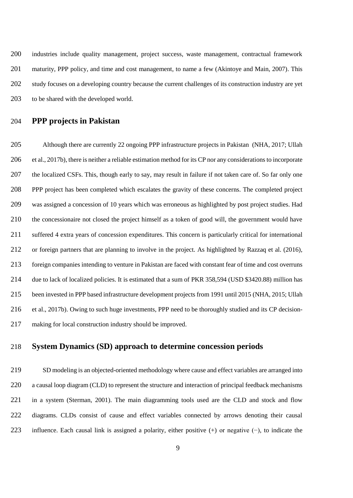industries include quality management, project success, waste management, contractual framework 201 maturity, PPP policy, and time and cost management, to name a few (Akintoye and Main, 2007). This study focuses on a developing country because the current challenges of its construction industry are yet to be shared with the developed world.

#### **PPP projects in Pakistan**

 Although there are currently 22 ongoing PPP infrastructure projects in Pakistan (NHA, 2017; Ullah et al., 2017b), there is neither a reliable estimation method for its CP nor any considerations to incorporate the localized CSFs. This, though early to say, may result in failure if not taken care of. So far only one PPP project has been completed which escalates the gravity of these concerns. The completed project was assigned a concession of 10 years which was erroneous as highlighted by post project studies. Had the concessionaire not closed the project himself as a token of good will, the government would have suffered 4 extra years of concession expenditures. This concern is particularly critical for international or foreign partners that are planning to involve in the project. As highlighted by Razzaq et al. (2016), foreign companies intending to venture in Pakistan are faced with constant fear of time and cost overruns due to lack of localized policies. It is estimated that a sum of PKR 358,594 (USD \$3420.88) million has been invested in PPP based infrastructure development projects from 1991 until 2015 (NHA, 2015; Ullah et al., 2017b). Owing to such huge investments, PPP need to be thoroughly studied and its CP decision-making for local construction industry should be improved.

#### **System Dynamics (SD) approach to determine concession periods**

 SD modeling is an objected-oriented methodology where cause and effect variables are arranged into 220 a causal loop diagram (CLD) to represent the structure and interaction of principal feedback mechanisms in a system (Sterman, 2001). The main diagramming tools used are the CLD and stock and flow diagrams. CLDs consist of cause and effect variables connected by arrows denoting their causal influence. Each causal link is assigned a polarity, either positive (+) or negative (−), to indicate the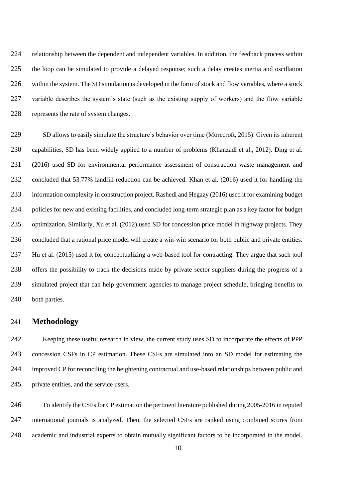relationship between the dependent and independent variables. In addition, the feedback process within the loop can be simulated to provide a delayed response; such a delay creates inertia and oscillation within the system. The SD simulation is developed in the form of stock and flow variables, where a stock variable describes the system's state (such as the existing supply of workers) and the flow variable represents the rate of system changes.

 SD allows to easily simulate the structure's behavior over time (Morecroft, 2015). Given its inherent capabilities, SD has been widely applied to a number of problems (Khanzadi et al., 2012). Ding et al. (2016) used SD for environmental performance assessment of construction waste management and concluded that 53.77% landfill reduction can be achieved. Khan et al. (2016) used it for handling the information complexity in construction project. Rashedi and Hegazy (2016) used it for examining budget policies for new and existing facilities, and concluded long-term strategic plan as a key factor for budget optimization. Similarly, Xu et al. (2012) used SD for concession price model in highway projects. They concluded that a rational price model will create a win-win scenario for both public and private entities. Hu et al. (2015) used it for conceptualizing a web-based tool for contracting. They argue that such tool offers the possibility to track the decisions made by private sector suppliers during the progress of a simulated project that can help government agencies to manage project schedule, bringing benefits to 240 both parties.

#### **Methodology**

 Keeping these useful research in view, the current study uses SD to incorporate the effects of PPP concession CSFs in CP estimation. These CSFs are simulated into an SD model for estimating the improved CP for reconciling the heightening contractual and use-based relationships between public and private entities, and the service users.

 To identify the CSFs for CP estimation the pertinent literature published during 2005-2016 in reputed international journals is analyzed. Then, the selected CSFs are ranked using combined scores from academic and industrial experts to obtain mutually significant factors to be incorporated in the model.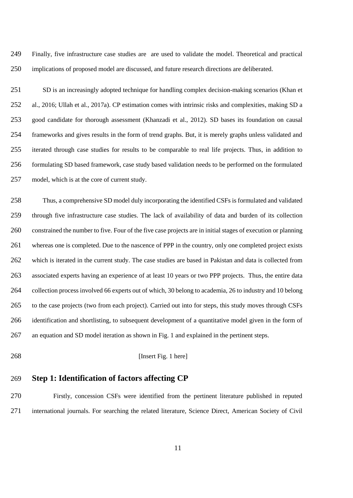Finally, five infrastructure case studies are are used to validate the model. Theoretical and practical implications of proposed model are discussed, and future research directions are deliberated.

 SD is an increasingly adopted technique for handling complex decision-making scenarios (Khan et al., 2016; Ullah et al., 2017a). CP estimation comes with intrinsic risks and complexities, making SD a good candidate for thorough assessment (Khanzadi et al., 2012). SD bases its foundation on causal frameworks and gives results in the form of trend graphs. But, it is merely graphs unless validated and iterated through case studies for results to be comparable to real life projects. Thus, in addition to formulating SD based framework, case study based validation needs to be performed on the formulated model, which is at the core of current study.

 Thus, a comprehensive SD model duly incorporating the identified CSFs is formulated and validated through five infrastructure case studies. The lack of availability of data and burden of its collection constrained the number to five. Four of the five case projects are in initial stages of execution or planning 261 whereas one is completed. Due to the nascence of PPP in the country, only one completed project exists which is iterated in the current study. The case studies are based in Pakistan and data is collected from associated experts having an experience of at least 10 years or two PPP projects. Thus, the entire data collection process involved 66 experts out of which, 30 belong to academia, 26 to industry and 10 belong to the case projects (two from each project). Carried out into for steps, this study moves through CSFs identification and shortlisting, to subsequent development of a quantitative model given in the form of an equation and SD model iteration as shown in Fig. 1 and explained in the pertinent steps.

[Insert Fig. 1 here]

### **Step 1: Identification of factors affecting CP**

 Firstly, concession CSFs were identified from the pertinent literature published in reputed international journals. For searching the related literature, Science Direct, American Society of Civil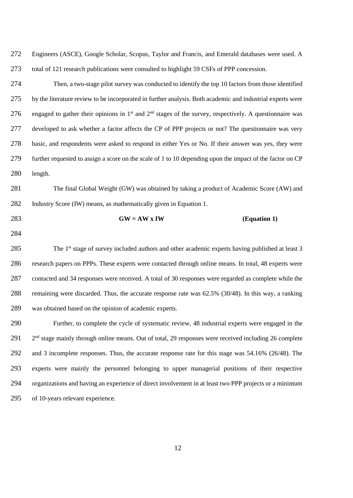Engineers (ASCE), Google Scholar, Scopus, Taylor and Francis, and Emerald databases were used. A total of 121 research publications were consulted to highlight 59 CSFs of PPP concession.

 Then, a two-stage pilot survey was conducted to identify the top 10 factors from those identified by the literature review to be incorporated in further analysis. Both academic and industrial experts were 276 engaged to gather their opinions in 1<sup>st</sup> and  $2<sup>nd</sup>$  stages of the survey, respectively. A questionnaire was developed to ask whether a factor affects the CP of PPP projects or not? The questionnaire was very basic, and respondents were asked to respond in either Yes or No. If their answer was yes, they were further requested to assign a score on the scale of 1 to 10 depending upon the impact of the factor on CP length.

281 The final Global Weight (GW) was obtained by taking a product of Academic Score (AW) and Industry Score (IW) means, as mathematically given in Equation 1.

#### 283 **GW** =  $AW \times IW$  (Equation 1)

285 The  $1<sup>st</sup>$  stage of survey included authors and other academic experts having published at least 3 research papers on PPPs. These experts were contacted through online means. In total, 48 experts were contacted and 34 responses were received. A total of 30 responses were regarded as complete while the remaining were discarded. Thus, the accurate response rate was 62.5% (30/48). In this way, a ranking was obtained based on the opinion of academic experts.

 Further, to complete the cycle of systematic review, 48 industrial experts were engaged in the 291 2<sup>nd</sup> stage mainly through online means. Out of total, 29 responses were received including 26 complete and 3 incomplete responses. Thus, the accurate response rate for this stage was 54.16% (26/48). The experts were mainly the personnel belonging to upper managerial positions of their respective organizations and having an experience of direct involvement in at least two PPP projects or a minimum of 10-years relevant experience.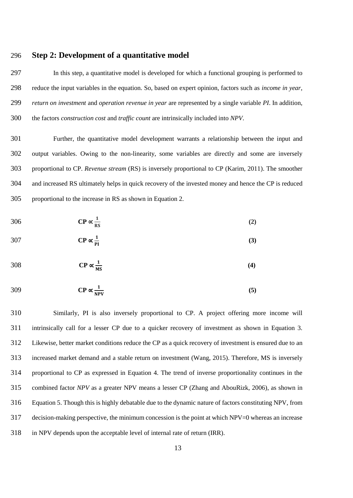#### **Step 2: Development of a quantitative model**

 In this step, a quantitative model is developed for which a functional grouping is performed to reduce the input variables in the equation. So, based on expert opinion, factors such as *income in year*, *return on investment* and *operation revenue in year* are represented by a single variable *PI*. In addition, the factors *construction cost* and *traffic count* are intrinsically included into *NPV*.

 Further, the quantitative model development warrants a relationship between the input and output variables. Owing to the non-linearity, some variables are directly and some are inversely proportional to CP. *Revenue stream* (RS) is inversely proportional to CP (Karim, 2011). The smoother and increased RS ultimately helps in quick recovery of the invested money and hence the CP is reduced proportional to the increase in RS as shown in Equation 2.

$$
306 \t\t \t CP \propto \frac{1}{\text{RS}} \t\t(2)
$$

$$
307 \t\t CP \propto \frac{1}{PI} \t\t(3)
$$

$$
308 \t\t \text{CP} \propto \frac{1}{\text{MS}} \t\t(4)
$$

$$
309 \t\t CP \propto \frac{1}{NPV}
$$
 (5)

 Similarly, PI is also inversely proportional to CP. A project offering more income will intrinsically call for a lesser CP due to a quicker recovery of investment as shown in Equation 3. Likewise, better market conditions reduce the CP as a quick recovery of investment is ensured due to an increased market demand and a stable return on investment (Wang, 2015). Therefore, MS is inversely proportional to CP as expressed in Equation 4. The trend of inverse proportionality continues in the combined factor *NPV* as a greater NPV means a lesser CP (Zhang and AbouRizk, 2006), as shown in Equation 5. Though this is highly debatable due to the dynamic nature of factors constituting NPV, from decision-making perspective, the minimum concession is the point at which NPV=0 whereas an increase in NPV depends upon the acceptable level of internal rate of return (IRR).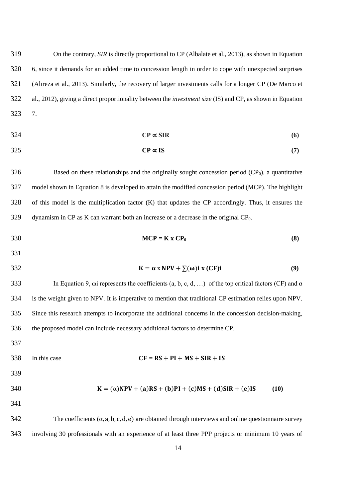On the contrary, *SIR* is directly proportional to CP (Albalate et al., 2013), as shown in Equation 6, since it demands for an added time to concession length in order to cope with unexpected surprises (Alireza et al., 2013). Similarly, the recovery of larger investments calls for a longer CP (De Marco et al., 2012), giving a direct proportionality between the *investment size* (IS) and CP, as shown in Equation 7.

$$
CP \propto SIR \tag{6}
$$

$$
SP \propto IS \tag{7}
$$

 Based on these relationships and the originally sought concession period  $(CP<sub>0</sub>)$ , a quantitative model shown in Equation 8 is developed to attain the modified concession period (MCP). The highlight of this model is the multiplication factor (K) that updates the CP accordingly. Thus, it ensures the dynamism in CP as K can warrant both an increase or a decrease in the original CP<sub>0</sub>.

- 330  $MCP = K \times CP_0$  (8)
- 
- 
- 332  $K = \alpha \times NPV + \sum(\omega)i \times (CF)i$  (9)

333 In Equation 9,  $\omega$  i represents the coefficients (a, b, c, d, ...) of the top critical factors (CF) and  $\alpha$  is the weight given to NPV. It is imperative to mention that traditional CP estimation relies upon NPV. Since this research attempts to incorporate the additional concerns in the concession decision-making, the proposed model can include necessary additional factors to determine CP.

- 
- 338 In this case **CF** =  $\text{RS} + \text{PI} + \text{MS} + \text{SIR} + \text{IS}$

$$
K = (\alpha)NPV + (a)RS + (b)PI + (c)MS + (d)SIR + (e)IS \tag{10}
$$

342 The coefficients  $(\alpha, a, b, c, d, e)$  are obtained through interviews and online questionnaire survey involving 30 professionals with an experience of at least three PPP projects or minimum 10 years of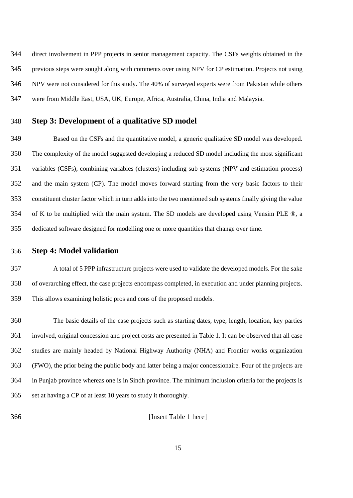direct involvement in PPP projects in senior management capacity. The CSFs weights obtained in the previous steps were sought along with comments over using NPV for CP estimation. Projects not using NPV were not considered for this study. The 40% of surveyed experts were from Pakistan while others were from Middle East, USA, UK, Europe, Africa, Australia, China, India and Malaysia.

#### **Step 3: Development of a qualitative SD model**

 Based on the CSFs and the quantitative model, a generic qualitative SD model was developed. The complexity of the model suggested developing a reduced SD model including the most significant variables (CSFs), combining variables (clusters) including sub systems (NPV and estimation process) and the main system (CP). The model moves forward starting from the very basic factors to their constituent cluster factor which in turn adds into the two mentioned sub systems finally giving the value of K to be multiplied with the main system. The SD models are developed using Vensim PLE ®, a dedicated software designed for modelling one or more quantities that change over time.

**Step 4: Model validation** 

 A total of 5 PPP infrastructure projects were used to validate the developed models. For the sake of overarching effect, the case projects encompass completed, in execution and under planning projects. This allows examining holistic pros and cons of the proposed models.

 The basic details of the case projects such as starting dates, type, length, location, key parties involved, original concession and project costs are presented in Table 1. It can be observed that all case studies are mainly headed by National Highway Authority (NHA) and Frontier works organization (FWO), the prior being the public body and latter being a major concessionaire. Four of the projects are in Punjab province whereas one is in Sindh province. The minimum inclusion criteria for the projects is set at having a CP of at least 10 years to study it thoroughly.

[Insert Table 1 here]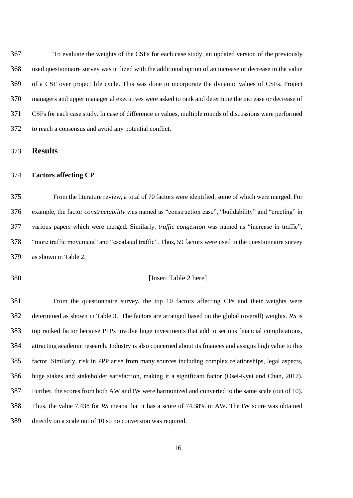To evaluate the weights of the CSFs for each case study, an updated version of the previously used questionnaire survey was utilized with the additional option of an increase or decrease in the value of a CSF over project life cycle. This was done to incorporate the dynamic values of CSFs. Project managers and upper managerial executives were asked to rank and determine the increase or decrease of CSFs for each case study. In case of difference in values, multiple rounds of discussions were performed to reach a consensus and avoid any potential conflict.

**Results**

#### **Factors affecting CP**

 From the literature review, a total of 70 factors were identified, some of which were merged. For example, the factor *constructability* was named as "construction ease", "buildability" and "erecting" in various papers which were merged. Similarly, *traffic congestion* was named as "increase in traffic", "more traffic movement" and "escalated traffic". Thus, 59 factors were used in the questionnaire survey as shown in Table 2.

#### [Insert Table 2 here]

 From the questionnaire survey, the top 10 factors affecting CPs and their weights were determined as shown in Table 3. The factors are arranged based on the global (overall) weights. *RS* is top ranked factor because PPPs involve huge investments that add to serious financial complications, attracting academic research. Industry is also concerned about its finances and assigns high value to this factor. Similarly, risk in PPP arise from many sources including complex relationships, legal aspects, huge stakes and stakeholder satisfaction, making it a significant factor (Osei-Kyei and Chan, 2017). Further, the scores from both AW and IW were harmonized and converted to the same scale (out of 10). Thus, the value 7.438 for *RS* means that it has a score of 74.38% in AW. The IW score was obtained directly on a scale out of 10 so no conversion was required.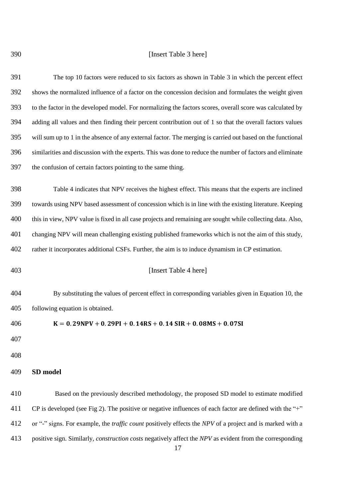#### [Insert Table 3 here]

 The top 10 factors were reduced to six factors as shown in Table 3 in which the percent effect shows the normalized influence of a factor on the concession decision and formulates the weight given to the factor in the developed model. For normalizing the factors scores, overall score was calculated by adding all values and then finding their percent contribution out of 1 so that the overall factors values will sum up to 1 in the absence of any external factor. The merging is carried out based on the functional similarities and discussion with the experts. This was done to reduce the number of factors and eliminate the confusion of certain factors pointing to the same thing.

 Table 4 indicates that NPV receives the highest effect. This means that the experts are inclined towards using NPV based assessment of concession which is in line with the existing literature. Keeping 400 this in view, NPV value is fixed in all case projects and remaining are sought while collecting data. Also, changing NPV will mean challenging existing published frameworks which is not the aim of this study, rather it incorporates additional CSFs. Further, the aim is to induce dynamism in CP estimation.

#### [Insert Table 4 here]

 By substituting the values of percent effect in corresponding variables given in Equation 10, the following equation is obtained.

 $K = 0.29$ NPV + 0.29PI + 0.14RS + 0.14 SIR + 0.08MS + 0.07SI

#### **SD model**

 Based on the previously described methodology, the proposed SD model to estimate modified CP is developed (see Fig 2). The positive or negative influences of each factor are defined with the "+" or "-" signs. For example, the *traffic count* positively effects the *NPV* of a project and is marked with a positive sign. Similarly, *construction costs* negatively affect the *NPV* as evident from the corresponding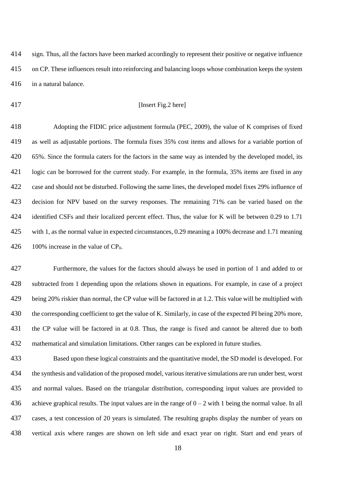sign. Thus, all the factors have been marked accordingly to represent their positive or negative influence on CP. These influences result into reinforcing and balancing loops whose combination keeps the system in a natural balance.

$$
^{417}
$$

#### [Insert Fig.2 here]

 Adopting the FIDIC price adjustment formula (PEC, 2009), the value of K comprises of fixed as well as adjustable portions. The formula fixes 35% cost items and allows for a variable portion of 65%. Since the formula caters for the factors in the same way as intended by the developed model, its logic can be borrowed for the current study. For example, in the formula, 35% items are fixed in any case and should not be disturbed. Following the same lines, the developed model fixes 29% influence of decision for NPV based on the survey responses. The remaining 71% can be varied based on the 424 identified CSFs and their localized percent effect. Thus, the value for K will be between 0.29 to 1.71 with 1, as the normal value in expected circumstances, 0.29 meaning a 100% decrease and 1.71 meaning 426 100% increase in the value of  $CP_0$ .

 Furthermore, the values for the factors should always be used in portion of 1 and added to or subtracted from 1 depending upon the relations shown in equations. For example, in case of a project being 20% riskier than normal, the CP value will be factored in at 1.2. This value will be multiplied with 430 the corresponding coefficient to get the value of K. Similarly, in case of the expected PI being 20% more, the CP value will be factored in at 0.8. Thus, the range is fixed and cannot be altered due to both mathematical and simulation limitations. Other ranges can be explored in future studies.

 Based upon these logical constraints and the quantitative model, the SD model is developed. For the synthesis and validation of the proposed model, various iterative simulations are run under best, worst and normal values. Based on the triangular distribution, corresponding input values are provided to 436 achieve graphical results. The input values are in the range of  $0 - 2$  with 1 being the normal value. In all cases, a test concession of 20 years is simulated. The resulting graphs display the number of years on vertical axis where ranges are shown on left side and exact year on right. Start and end years of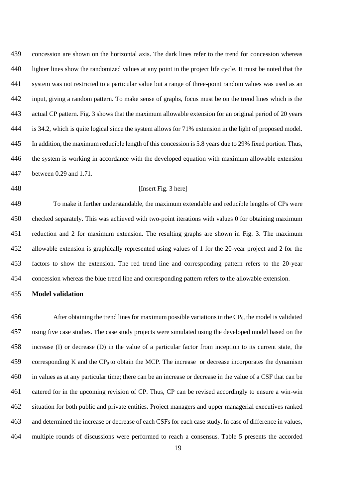concession are shown on the horizontal axis. The dark lines refer to the trend for concession whereas lighter lines show the randomized values at any point in the project life cycle. It must be noted that the system was not restricted to a particular value but a range of three-point random values was used as an input, giving a random pattern. To make sense of graphs, focus must be on the trend lines which is the actual CP pattern. Fig. 3 shows that the maximum allowable extension for an original period of 20 years is 34.2, which is quite logical since the system allows for 71% extension in the light of proposed model. In addition, the maximum reducible length of this concession is 5.8 years due to 29% fixed portion. Thus, the system is working in accordance with the developed equation with maximum allowable extension between 0.29 and 1.71.

#### [Insert Fig. 3 here]

 To make it further understandable, the maximum extendable and reducible lengths of CPs were checked separately. This was achieved with two-point iterations with values 0 for obtaining maximum reduction and 2 for maximum extension. The resulting graphs are shown in Fig. 3. The maximum allowable extension is graphically represented using values of 1 for the 20-year project and 2 for the factors to show the extension. The red trend line and corresponding pattern refers to the 20-year concession whereas the blue trend line and corresponding pattern refers to the allowable extension.

#### **Model validation**

 After obtaining the trend lines for maximum possible variations in the CP<sub>0</sub>, the model is validated using five case studies. The case study projects were simulated using the developed model based on the increase (I) or decrease (D) in the value of a particular factor from inception to its current state, the 459 corresponding K and the  $CP_0$  to obtain the MCP. The increase or decrease incorporates the dynamism in values as at any particular time; there can be an increase or decrease in the value of a CSF that can be catered for in the upcoming revision of CP. Thus, CP can be revised accordingly to ensure a win-win situation for both public and private entities. Project managers and upper managerial executives ranked and determined the increase or decrease of each CSFs for each case study. In case of difference in values, multiple rounds of discussions were performed to reach a consensus. Table 5 presents the accorded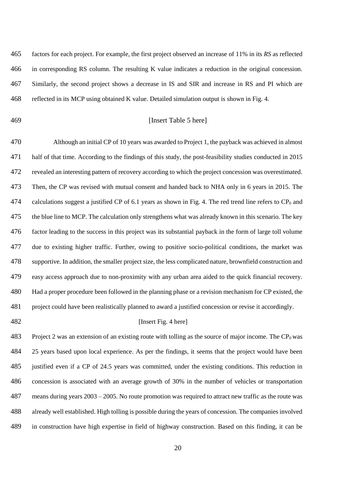factors for each project. For example, the first project observed an increase of 11% in its *RS* as reflected in corresponding RS column. The resulting K value indicates a reduction in the original concession. Similarly, the second project shows a decrease in IS and SIR and increase in RS and PI which are reflected in its MCP using obtained K value. Detailed simulation output is shown in Fig. 4.

#### [Insert Table 5 here]

 Although an initial CP of 10 years was awarded to Project 1, the payback was achieved in almost half of that time. According to the findings of this study, the post-feasibility studies conducted in 2015 revealed an interesting pattern of recovery according to which the project concession was overestimated. Then, the CP was revised with mutual consent and handed back to NHA only in 6 years in 2015. The 474 calculations suggest a justified CP of 6.1 years as shown in Fig. 4. The red trend line refers to  $CP_0$  and 475 the blue line to MCP. The calculation only strengthens what was already known in this scenario. The key factor leading to the success in this project was its substantial payback in the form of large toll volume due to existing higher traffic. Further, owing to positive socio-political conditions, the market was supportive. In addition, the smaller project size, the less complicated nature, brownfield construction and easy access approach due to non-proximity with any urban area aided to the quick financial recovery. Had a proper procedure been followed in the planning phase or a revision mechanism for CP existed, the project could have been realistically planned to award a justified concession or revise it accordingly.

#### 482 [Insert Fig. 4 here]

483 Project 2 was an extension of an existing route with tolling as the source of major income. The  $CP_0$  was 25 years based upon local experience. As per the findings, it seems that the project would have been justified even if a CP of 24.5 years was committed, under the existing conditions. This reduction in concession is associated with an average growth of 30% in the number of vehicles or transportation means during years 2003 – 2005. No route promotion was required to attract new traffic as the route was already well established. High tolling is possible during the years of concession. The companies involved in construction have high expertise in field of highway construction. Based on this finding, it can be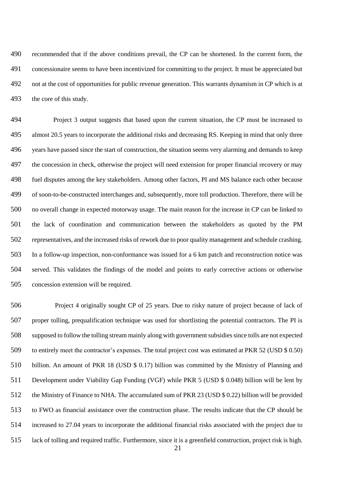recommended that if the above conditions prevail, the CP can be shortened. In the current form, the concessionaire seems to have been incentivized for committing to the project. It must be appreciated but not at the cost of opportunities for public revenue generation. This warrants dynamism in CP which is at the core of this study.

 Project 3 output suggests that based upon the current situation, the CP must be increased to almost 20.5 years to incorporate the additional risks and decreasing RS. Keeping in mind that only three years have passed since the start of construction, the situation seems very alarming and demands to keep the concession in check, otherwise the project will need extension for proper financial recovery or may fuel disputes among the key stakeholders. Among other factors, PI and MS balance each other because of soon-to-be-constructed interchanges and, subsequently, more toll production. Therefore, there will be no overall change in expected motorway usage. The main reason for the increase in CP can be linked to the lack of coordination and communication between the stakeholders as quoted by the PM representatives, and the increased risks of rework due to poor quality management and schedule crashing. In a follow-up inspection, non-conformance was issued for a 6 km patch and reconstruction notice was served. This validates the findings of the model and points to early corrective actions or otherwise concession extension will be required.

 Project 4 originally sought CP of 25 years. Due to risky nature of project because of lack of proper tolling, prequalification technique was used for shortlisting the potential contractors. The PI is supposed to follow the tolling stream mainly along with government subsidiessince tolls are not expected to entirely meet the contractor's expenses. The total project cost was estimated at PKR 52 (USD \$ 0.50) billion. An amount of PKR 18 (USD \$ 0.17) billion was committed by the Ministry of Planning and Development under Viability Gap Funding (VGF) while PKR 5 (USD \$ 0.048) billion will be lent by the Ministry of Finance to NHA. The accumulated sum of PKR 23 (USD \$ 0.22) billion will be provided to FWO as financial assistance over the construction phase. The results indicate that the CP should be increased to 27.04 years to incorporate the additional financial risks associated with the project due to lack of tolling and required traffic. Furthermore, since it is a greenfield construction, project risk is high.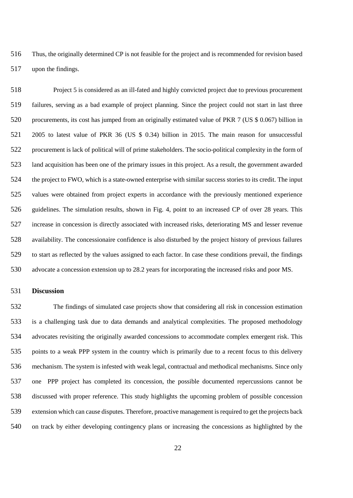Thus, the originally determined CP is not feasible for the project and is recommended for revision based upon the findings.

 Project 5 is considered as an ill-fated and highly convicted project due to previous procurement failures, serving as a bad example of project planning. Since the project could not start in last three procurements, its cost has jumped from an originally estimated value of PKR 7 (US \$ 0.067) billion in 2005 to latest value of PKR 36 (US \$ 0.34) billion in 2015. The main reason for unsuccessful procurement is lack of political will of prime stakeholders. The socio-political complexity in the form of land acquisition has been one of the primary issues in this project. As a result, the government awarded the project to FWO, which is a state-owned enterprise with similar success stories to its credit. The input values were obtained from project experts in accordance with the previously mentioned experience guidelines. The simulation results, shown in Fig. 4, point to an increased CP of over 28 years. This increase in concession is directly associated with increased risks, deteriorating MS and lesser revenue availability. The concessionaire confidence is also disturbed by the project history of previous failures to start as reflected by the values assigned to each factor. In case these conditions prevail, the findings advocate a concession extension up to 28.2 years for incorporating the increased risks and poor MS.

#### **Discussion**

 The findings of simulated case projects show that considering all risk in concession estimation is a challenging task due to data demands and analytical complexities. The proposed methodology advocates revisiting the originally awarded concessions to accommodate complex emergent risk. This points to a weak PPP system in the country which is primarily due to a recent focus to this delivery mechanism. The system is infested with weak legal, contractual and methodical mechanisms. Since only one PPP project has completed its concession, the possible documented repercussions cannot be discussed with proper reference. This study highlights the upcoming problem of possible concession extension which can cause disputes. Therefore, proactive management is required to get the projects back on track by either developing contingency plans or increasing the concessions as highlighted by the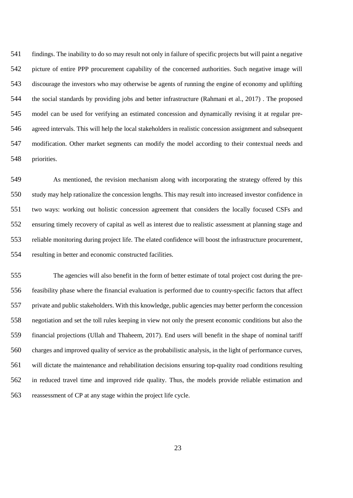findings. The inability to do so may result not only in failure of specific projects but will paint a negative picture of entire PPP procurement capability of the concerned authorities. Such negative image will discourage the investors who may otherwise be agents of running the engine of economy and uplifting the social standards by providing jobs and better infrastructure (Rahmani et al., 2017) . The proposed model can be used for verifying an estimated concession and dynamically revising it at regular pre- agreed intervals. This will help the local stakeholders in realistic concession assignment and subsequent modification. Other market segments can modify the model according to their contextual needs and priorities.

 As mentioned, the revision mechanism along with incorporating the strategy offered by this study may help rationalize the concession lengths. This may result into increased investor confidence in two ways: working out holistic concession agreement that considers the locally focused CSFs and ensuring timely recovery of capital as well as interest due to realistic assessment at planning stage and reliable monitoring during project life. The elated confidence will boost the infrastructure procurement, resulting in better and economic constructed facilities.

 The agencies will also benefit in the form of better estimate of total project cost during the pre- feasibility phase where the financial evaluation is performed due to country-specific factors that affect private and public stakeholders. With this knowledge, public agencies may better perform the concession negotiation and set the toll rules keeping in view not only the present economic conditions but also the financial projections (Ullah and Thaheem, 2017). End users will benefit in the shape of nominal tariff charges and improved quality of service as the probabilistic analysis, in the light of performance curves, will dictate the maintenance and rehabilitation decisions ensuring top-quality road conditions resulting in reduced travel time and improved ride quality. Thus, the models provide reliable estimation and reassessment of CP at any stage within the project life cycle.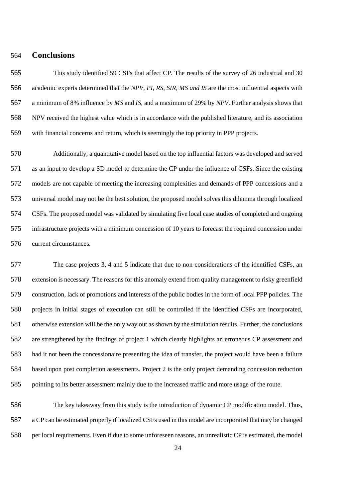#### **Conclusions**

 This study identified 59 CSFs that affect CP. The results of the survey of 26 industrial and 30 academic experts determined that the *NPV, PI, RS, SIR, MS and IS* are the most influential aspects with a minimum of 8% influence by *MS* and *IS*, and a maximum of 29% by *NPV*. Further analysis shows that NPV received the highest value which is in accordance with the published literature, and its association with financial concerns and return, which is seemingly the top priority in PPP projects.

 Additionally, a quantitative model based on the top influential factors was developed and served as an input to develop a SD model to determine the CP under the influence of CSFs. Since the existing models are not capable of meeting the increasing complexities and demands of PPP concessions and a universal model may not be the best solution, the proposed model solves this dilemma through localized CSFs. The proposed model was validated by simulating five local case studies of completed and ongoing infrastructure projects with a minimum concession of 10 years to forecast the required concession under current circumstances.

 The case projects 3, 4 and 5 indicate that due to non-considerations of the identified CSFs, an extension is necessary. The reasons for this anomaly extend from quality management to risky greenfield construction, lack of promotions and interests of the public bodies in the form of local PPP policies. The projects in initial stages of execution can still be controlled if the identified CSFs are incorporated, otherwise extension will be the only way out as shown by the simulation results. Further, the conclusions are strengthened by the findings of project 1 which clearly highlights an erroneous CP assessment and had it not been the concessionaire presenting the idea of transfer, the project would have been a failure based upon post completion assessments. Project 2 is the only project demanding concession reduction pointing to its better assessment mainly due to the increased traffic and more usage of the route.

 The key takeaway from this study is the introduction of dynamic CP modification model. Thus, a CP can be estimated properly if localized CSFs used in this model are incorporated that may be changed per local requirements. Even if due to some unforeseen reasons, an unrealistic CP is estimated, the model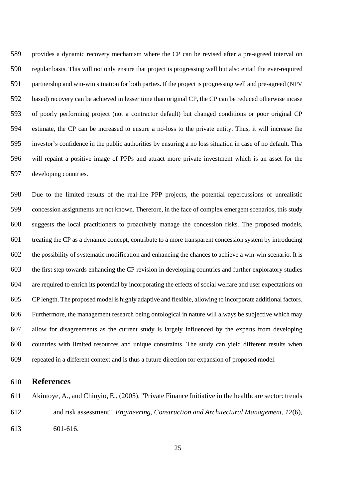provides a dynamic recovery mechanism where the CP can be revised after a pre-agreed interval on regular basis. This will not only ensure that project is progressing well but also entail the ever-required partnership and win-win situation for both parties. If the project is progressing well and pre-agreed (NPV based) recovery can be achieved in lesser time than original CP, the CP can be reduced otherwise incase of poorly performing project (not a contractor default) but changed conditions or poor original CP estimate, the CP can be increased to ensure a no-loss to the private entity. Thus, it will increase the investor's confidence in the public authorities by ensuring a no loss situation in case of no default. This will repaint a positive image of PPPs and attract more private investment which is an asset for the developing countries.

 Due to the limited results of the real-life PPP projects, the potential repercussions of unrealistic concession assignments are not known. Therefore, in the face of complex emergent scenarios, this study suggests the local practitioners to proactively manage the concession risks. The proposed models, treating the CP as a dynamic concept, contribute to a more transparent concession system by introducing the possibility of systematic modification and enhancing the chances to achieve a win-win scenario. It is the first step towards enhancing the CP revision in developing countries and further exploratory studies are required to enrich its potential by incorporating the effects of social welfare and user expectations on CP length. The proposed model is highly adaptive and flexible, allowing to incorporate additional factors. Furthermore, the management research being ontological in nature will always be subjective which may allow for disagreements as the current study is largely influenced by the experts from developing countries with limited resources and unique constraints. The study can yield different results when repeated in a different context and is thus a future direction for expansion of proposed model.

#### **References**

- Akintoye, A., and Chinyio, E., (2005), "Private Finance Initiative in the healthcare sector: trends and risk assessment". *Engineering, Construction and Architectural Management, 12*(6), 601-616.
	-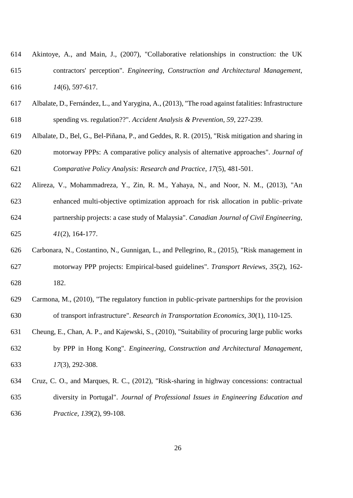| 614 | Akintoye, A., and Main, J., (2007), "Collaborative relationships in construction: the UK |
|-----|------------------------------------------------------------------------------------------|
| 615 | contractors' perception". Engineering, Construction and Architectural Management,        |
| 616 | $14(6)$ , 597-617.                                                                       |

- Albalate, D., Fernández, L., and Yarygina, A., (2013), "The road against fatalities: Infrastructure spending vs. regulation??". *Accident Analysis & Prevention, 59*, 227-239.
- Albalate, D., Bel, G., Bel-Piñana, P., and Geddes, R. R. (2015), "Risk mitigation and sharing in motorway PPPs: A comparative policy analysis of alternative approaches". *Journal of Comparative Policy Analysis: Research and Practice*, *17*(5), 481-501.
- Alireza, V., Mohammadreza, Y., Zin, R. M., Yahaya, N., and Noor, N. M., (2013), "An enhanced multi-objective optimization approach for risk allocation in public–private partnership projects: a case study of Malaysia". *Canadian Journal of Civil Engineering, 41*(2), 164-177.
- Carbonara, N., Costantino, N., Gunnigan, L., and Pellegrino, R., (2015), "Risk management in motorway PPP projects: Empirical-based guidelines". *Transport Reviews, 35*(2), 162- 182.
- Carmona, M., (2010), "The regulatory function in public-private partnerships for the provision of transport infrastructure". *Research in Transportation Economics, 30*(1), 110-125.
- Cheung, E., Chan, A. P., and Kajewski, S., (2010), "Suitability of procuring large public works by PPP in Hong Kong". *Engineering, Construction and Architectural Management, 17*(3), 292-308.
- Cruz, C. O., and Marques, R. C., (2012), "Risk-sharing in highway concessions: contractual diversity in Portugal". *Journal of Professional Issues in Engineering Education and Practice, 139*(2), 99-108.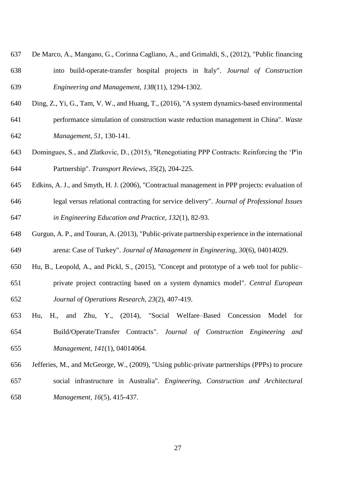- De Marco, A., Mangano, G., Corinna Cagliano, A., and Grimaldi, S., (2012), "Public financing into build-operate-transfer hospital projects in Italy". *Journal of Construction Engineering and Management, 138*(11), 1294-1302.
- Ding, Z., Yi, G., Tam, V. W., and Huang, T., (2016), "A system dynamics-based environmental performance simulation of construction waste reduction management in China". *Waste Management, 51*, 130-141.
- Domingues, S., and Zlatkovic, D., (2015), "Renegotiating PPP Contracts: Reinforcing the 'P'in Partnership". *Transport Reviews, 35*(2), 204-225.
- Edkins, A. J., and Smyth, H. J. (2006), "Contractual management in PPP projects: evaluation of
- legal versus relational contracting for service delivery". *Journal of Professional Issues in Engineering Education and Practice, 132*(1), 82-93.
- Gurgun, A. P., and Touran, A. (2013), "Public-private partnership experience in the international arena: Case of Turkey". *Journal of Management in Engineering, 30*(6), 04014029.
- Hu, B., Leopold, A., and Pickl, S., (2015), "Concept and prototype of a web tool for public– private project contracting based on a system dynamics model". *Central European Journal of Operations Research, 23*(2), 407-419.
- Hu, H., and Zhu, Y., (2014), "Social Welfare–Based Concession Model for Build/Operate/Transfer Contracts". *Journal of Construction Engineering and Management, 141*(1), 04014064.
- Jefferies, M., and McGeorge, W., (2009), "Using public-private partnerships (PPPs) to procure social infrastructure in Australia". *Engineering, Construction and Architectural Management, 16*(5), 415-437.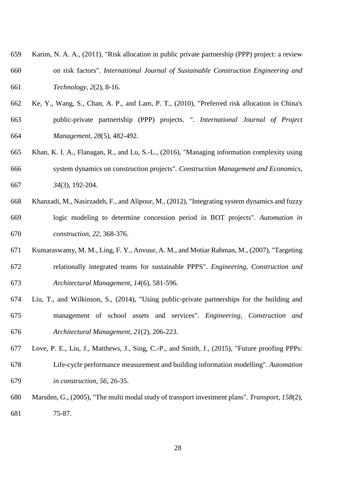- Karim, N. A. A., (2011), "Risk allocation in public private partnership (PPP) project: a review on risk factors". *International Journal of Sustainable Construction Engineering and Technology, 2*(2), 8-16.
- Ke, Y., Wang, S., Chan, A. P., and Lam, P. T., (2010), "Preferred risk allocation in China's public-private partnertship (PPP) projects. ". *International Journal of Project Management, 28*(5), 482-492.
- Khan, K. I. A., Flanagan, R., and Lu, S.-L., (2016), "Managing information complexity using system dynamics on construction projects". *Construction Management and Economics, 34*(3), 192-204.
- Khanzadi, M., Nasirzadeh, F., and Alipour, M., (2012), "Integrating system dynamics and fuzzy logic modeling to determine concession period in BOT projects". *Automation in construction, 22*, 368-376.
- Kumaraswamy, M. M., Ling, F. Y., Anvuur, A. M., and Motiar Rahman, M., (2007), "Targeting relationally integrated teams for sustainable PPPS". *Engineering, Construction and Architectural Management, 14*(6), 581-596.
- Liu, T., and Wilkinson, S., (2014), "Using public-private partnerships for the building and management of school assets and services". *Engineering, Construction and Architectural Management, 21*(2), 206-223.
- Love, P. E., Liu, J., Matthews, J., Sing, C.-P., and Smith, J., (2015), "Future proofing PPPs: Life-cycle performance measurement and building information modelling". *Automation in construction, 56*, 26-35.
- Marsden, G., (2005), "The multi modal study of transport investment plans". *Transport, 158*(2), 75-87.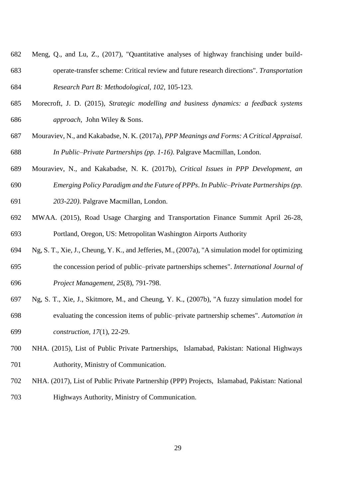- Meng, Q., and Lu, Z., (2017), "Quantitative analyses of highway franchising under build- operate-transfer scheme: Critical review and future research directions". *Transportation Research Part B: Methodological, 102*, 105-123.
- Morecroft, J. D. (2015), *Strategic modelling and business dynamics: a feedback systems approach*, John Wiley & Sons.
- Mouraviev, N., and Kakabadse, N. K. (2017a), *PPP Meanings and Forms: A Critical Appraisal. In Public–Private Partnerships (pp. 1-16)*. Palgrave Macmillan, London.
- Mouraviev, N., and Kakabadse, N. K. (2017b), *Critical Issues in PPP Development, an Emerging Policy Paradigm and the Future of PPPs*. *In Public–Private Partnerships (pp.*
- *203-220)*. Palgrave Macmillan, London.
- MWAA. (2015), Road Usage Charging and Transportation Finance Summit April 26-28, Portland, Oregon, US: Metropolitan Washington Airports Authority
- Ng, S. T., Xie, J., Cheung, Y. K., and Jefferies, M., (2007a), "A simulation model for optimizing
- the concession period of public–private partnerships schemes". *International Journal of Project Management, 25*(8), 791-798.
- Ng, S. T., Xie, J., Skitmore, M., and Cheung, Y. K., (2007b), "A fuzzy simulation model for evaluating the concession items of public–private partnership schemes". *Automation in construction, 17*(1), 22-29.
- NHA. (2015), List of Public Private Partnerships, Islamabad, Pakistan: National Highways Authority, Ministry of Communication.
- NHA. (2017), List of Public Private Partnership (PPP) Projects, Islamabad, Pakistan: National Highways Authority, Ministry of Communication.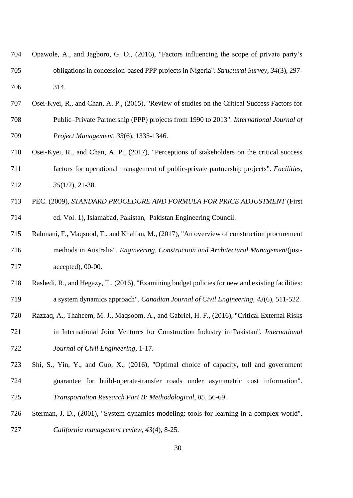| 704 | Opawole, A., and Jagboro, G. O., (2016), "Factors influencing the scope of private party's |
|-----|--------------------------------------------------------------------------------------------|
| 705 | obligations in concession-based PPP projects in Nigeria". Structural Survey, 34(3), 297-   |
| 706 | 314.                                                                                       |

- Osei-Kyei, R., and Chan, A. P., (2015), "Review of studies on the Critical Success Factors for Public–Private Partnership (PPP) projects from 1990 to 2013". *International Journal of Project Management, 33*(6), 1335-1346.
- Osei-Kyei, R., and Chan, A. P., (2017), "Perceptions of stakeholders on the critical success factors for operational management of public-private partnership projects". *Facilities, 35*(1/2), 21-38.
- PEC. (2009), *STANDARD PROCEDURE AND FORMULA FOR PRICE ADJUSTMENT* (First ed. Vol. 1), Islamabad, Pakistan, Pakistan Engineering Council.
- Rahmani, F., Maqsood, T., and Khalfan, M., (2017), "An overview of construction procurement methods in Australia". *Engineering, Construction and Architectural Management*(just-accepted), 00-00.
- Rashedi, R., and Hegazy, T., (2016), "Examining budget policies for new and existing facilities: a system dynamics approach". *Canadian Journal of Civil Engineering, 43*(6), 511-522.
- Razzaq, A., Thaheem, M. J., Maqsoom, A., and Gabriel, H. F., (2016), "Critical External Risks
- in International Joint Ventures for Construction Industry in Pakistan". *International Journal of Civil Engineering*, 1-17.
- Shi, S., Yin, Y., and Guo, X., (2016), "Optimal choice of capacity, toll and government guarantee for build-operate-transfer roads under asymmetric cost information". *Transportation Research Part B: Methodological, 85*, 56-69.
- Sterman, J. D., (2001), "System dynamics modeling: tools for learning in a complex world". *California management review, 43*(4), 8-25.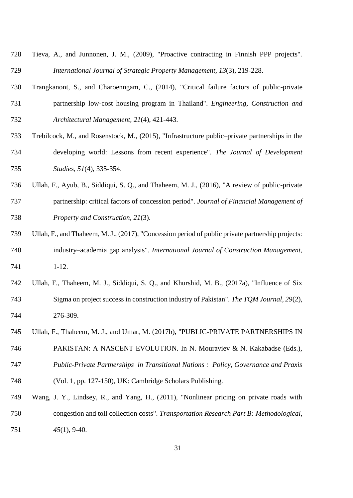| 728 | Tieva, A., and Junnonen, J. M., (2009), "Proactive contracting in Finnish PPP projects". |
|-----|------------------------------------------------------------------------------------------|
| 729 | International Journal of Strategic Property Management, 13(3), 219-228.                  |

- Trangkanont, S., and Charoenngam, C., (2014), "Critical failure factors of public-private partnership low-cost housing program in Thailand". *Engineering, Construction and Architectural Management, 21*(4), 421-443.
- Trebilcock, M., and Rosenstock, M., (2015), "Infrastructure public–private partnerships in the developing world: Lessons from recent experience". *The Journal of Development Studies, 51*(4), 335-354.
- Ullah, F., Ayub, B., Siddiqui, S. Q., and Thaheem, M. J., (2016), "A review of public-private partnership: critical factors of concession period". *Journal of Financial Management of Property and Construction, 21*(3).
- Ullah, F., and Thaheem, M. J., (2017), "Concession period of public private partnership projects: industry–academia gap analysis". *International Journal of Construction Management*, 1-12.
- Ullah, F., Thaheem, M. J., Siddiqui, S. Q., and Khurshid, M. B., (2017a), "Influence of Six Sigma on project success in construction industry of Pakistan". *The TQM Journal, 29*(2), 276-309.
- Ullah, F., Thaheem, M. J., and Umar, M. (2017b), "PUBLIC-PRIVATE PARTNERSHIPS IN
- PAKISTAN: A NASCENT EVOLUTION. In N. Mouraviev & N. Kakabadse (Eds.), *Public-Private Partnerships in Transitional Nations : Policy, Governance and Praxis*
- (Vol. 1, pp. 127-150), UK: Cambridge Scholars Publishing.
- Wang, J. Y., Lindsey, R., and Yang, H., (2011), "Nonlinear pricing on private roads with congestion and toll collection costs". *Transportation Research Part B: Methodological, 45*(1), 9-40.